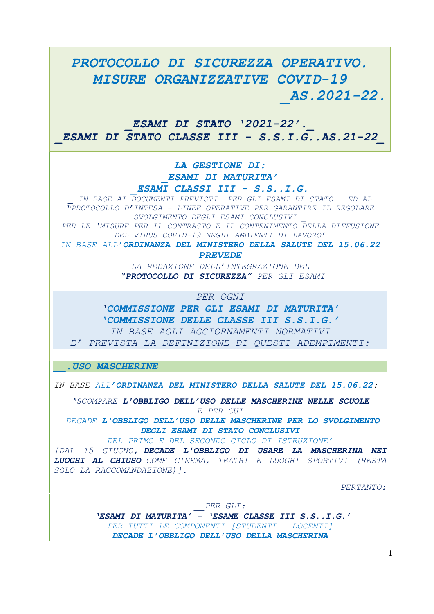## *PROTOCOLLO DI SICUREZZA OPERATIVO. MISURE ORGANIZZATIVE COVID-19 \_AS.2021-22.*

*\_ESAMI DI STATO '2021-22' .\_ \_ESAMI DI STATO CLASSE III - S.S.I.G..AS.21-22\_*

> *LA GESTIONE DI: \_ESAMI DI MATURITA'*

*\_ESAMI CLASSI III - S.S..I.G.*

*\_ IN BASE AI DOCUMENTI PREVISTI PER GLI ESAMI DI STATO – ED AL "PROTOCOLLO D'INTESA - LINEE OPERATIVE PER GARANTIRE IL REGOLARE SVOLGIMENTO DEGLI ESAMI CONCLUSIVI \_*

*PER LE 'MISURE PER IL CONTRASTO E IL CONTENIMENTO DELLA DIFFUSIONE DEL VIRUS COVID-19 NEGLI AMBIENTI DI LAVORO'* 

*IN BASE ALL'ORDINANZA DEL MINISTERO DELLA SALUTE DEL 15.06.22 PREVEDE*

> *LA REDAZIONE DELL'INTEGRAZIONE DEL "PROTOCOLLO DI SICUREZZA" PER GLI ESAMI*

> > *PER OGNI*

*'COMMISSIONE PER GLI ESAMI DI MATURITA' 'COMMISSIONE DELLE CLASSE III S.S.I.G.' IN BASE AGLI AGGIORNAMENTI NORMATIVI E' PREVISTA LA DEFINIZIONE DI QUESTI ADEMPIMENTI:*

*\_\_.USO MASCHERINE*

*IN BASE ALL'ORDINANZA DEL MINISTERO DELLA SALUTE DEL 15.06.22:*

*'SCOMPARE L'OBBLIGO DELL'USO DELLE MASCHERINE NELLE SCUOLE E PER CUI*

*DECADE L'OBBLIGO DELL'USO DELLE MASCHERINE PER LO SVOLGIMENTO DEGLI ESAMI DI STATO CONCLUSIVI*

*DEL PRIMO E DEL SECONDO CICLO DI ISTRUZIONE'*

*[DAL 15 GIUGNO, DECADE L'OBBLIGO DI USARE LA MASCHERINA NEI LUOGHI AL CHIUSO COME CINEMA, TEATRI E LUOGHI SPORTIVI (RESTA SOLO LA RACCOMANDAZIONE)].*

*PERTANTO:*

*\_\_PER GLI:*

*'ESAMI DI MATURITA' – 'ESAME CLASSE III S.S..I.G.' PER TUTTI LE COMPONENTI [STUDENTI – DOCENTI] DECADE L'OBBLIGO DELL'USO DELLA MASCHERINA*

1